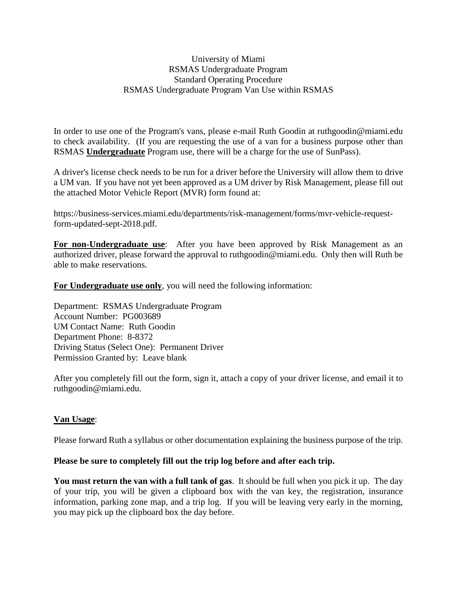## University of Miami RSMAS Undergraduate Program Standard Operating Procedure RSMAS Undergraduate Program Van Use within RSMAS

In order to use one of the Program's vans, please e-mail Ruth Goodin at ruthgoodin@miami.edu to check availability. (If you are requesting the use of a van for a business purpose other than RSMAS **Undergraduate** Program use, there will be a charge for the use of SunPass).

A driver's license check needs to be run for a driver before the University will allow them to drive a UM van. If you have not yet been approved as a UM driver by Risk Management, please fill out the attached Motor Vehicle Report (MVR) form found at:

https://business-services.miami.edu/departments/risk-management/forms/mvr-vehicle-requestform-updated-sept-2018.pdf.

**For non-Undergraduate use**: After you have been approved by Risk Management as an authorized driver, please forward the approval to ruthgoodin@miami.edu. Only then will Ruth be able to make reservations.

**For Undergraduate use only**, you will need the following information:

Department: RSMAS Undergraduate Program Account Number: PG003689 UM Contact Name: Ruth Goodin Department Phone: 8-8372 Driving Status (Select One): Permanent Driver Permission Granted by: Leave blank

After you completely fill out the form, sign it, attach a copy of your driver license, and email it to ruthgoodin@miami.edu.

## **Van Usage**:

Please forward Ruth a syllabus or other documentation explaining the business purpose of the trip.

## **Please be sure to completely fill out the trip log before and after each trip.**

**You must return the van with a full tank of gas**. It should be full when you pick it up. The day of your trip, you will be given a clipboard box with the van key, the registration, insurance information, parking zone map, and a trip log. If you will be leaving very early in the morning, you may pick up the clipboard box the day before.